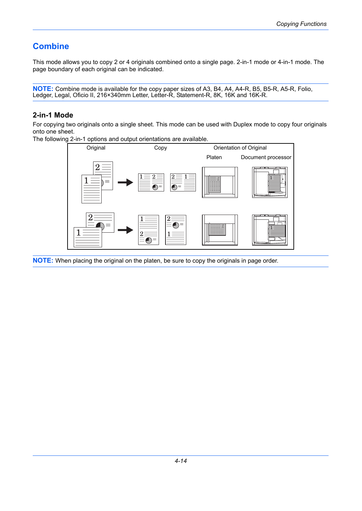## **Combine**

This mode allows you to copy 2 or 4 originals combined onto a single page. 2-in-1 mode or 4-in-1 mode. The page boundary of each original can be indicated.

**NOTE:** Combine mode is available for the copy paper sizes of A3, B4, A4, A4-R, B5, B5-R, A5-R, Folio, Ledger, Legal, Oficio II, 216×340mm Letter, Letter-R, Statement-R, 8K, 16K and 16K-R.

## **2-in-1 Mode**

For copying two originals onto a single sheet. This mode can be used with Duplex mode to copy four originals onto one sheet.

The following 2-in-1 options and output orientations are available.



**NOTE:** When placing the original on the platen, be sure to copy the originals in page order.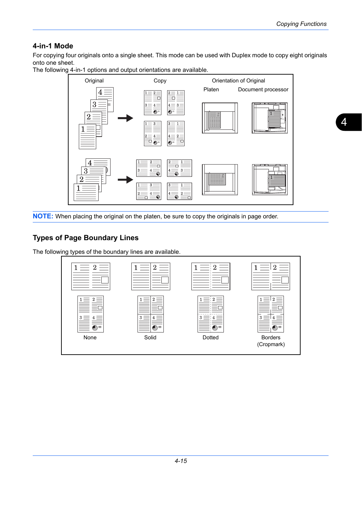## **4-in-1 Mode**

For copying four originals onto a single sheet. This mode can be used with Duplex mode to copy eight originals onto one sheet.

The following 4-in-1 options and output orientations are available.



**NOTE:** When placing the original on the platen, be sure to copy the originals in page order.

## **Types of Page Boundary Lines**

The following types of the boundary lines are available.